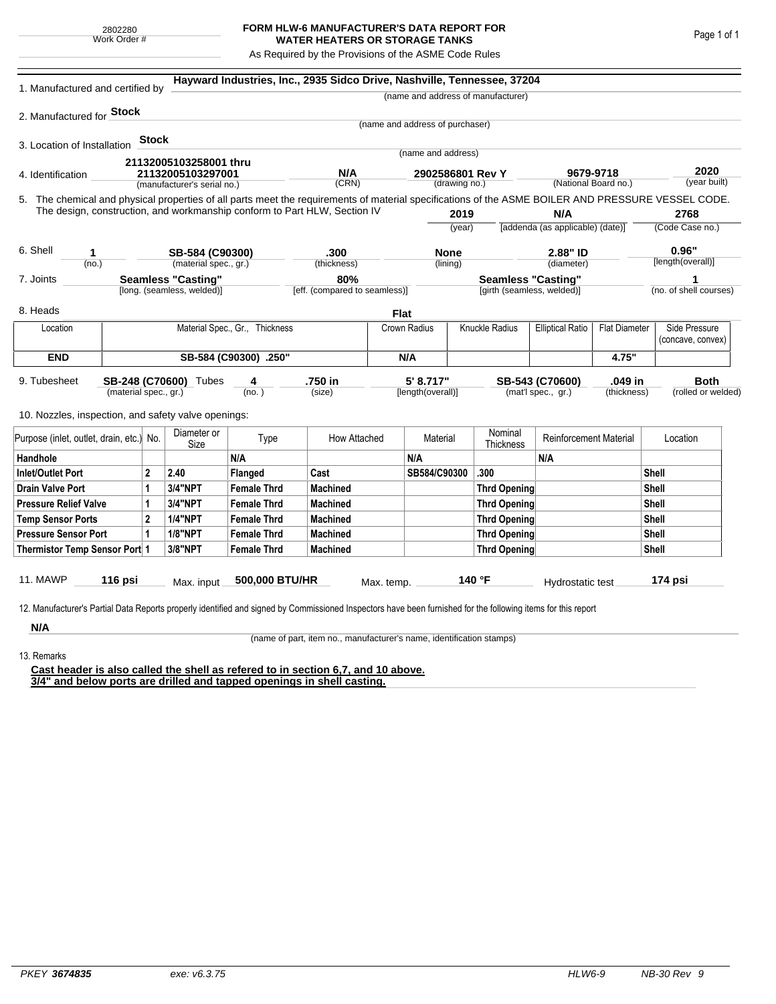## **FORM HLW-6 MANUFACTURER'S DATA REPORT FOR WATER HEATERS OR STORAGE TANKS**

As Required by the Provisions of the ASME Code Rules

| 1. Manufactured and certified by                                                                                                                              |                                                |                |                                |                       | Hayward Industries, Inc., 2935 Sidco Drive, Nashville, Tennessee, 37204   |                   |                                   |                                           |                                    |                                         |                    |                         |                        |  |
|---------------------------------------------------------------------------------------------------------------------------------------------------------------|------------------------------------------------|----------------|--------------------------------|-----------------------|---------------------------------------------------------------------------|-------------------|-----------------------------------|-------------------------------------------|------------------------------------|-----------------------------------------|--------------------|-------------------------|------------------------|--|
|                                                                                                                                                               |                                                |                |                                |                       |                                                                           |                   |                                   |                                           | (name and address of manufacturer) |                                         |                    |                         |                        |  |
| 2. Manufactured for <b>Stock</b>                                                                                                                              |                                                |                |                                |                       |                                                                           |                   |                                   |                                           |                                    |                                         |                    |                         |                        |  |
|                                                                                                                                                               |                                                |                |                                |                       |                                                                           |                   | (name and address of purchaser)   |                                           |                                    |                                         |                    |                         |                        |  |
| 3. Location of Installation                                                                                                                                   |                                                | <b>Stock</b>   |                                |                       |                                                                           |                   |                                   |                                           |                                    |                                         |                    |                         |                        |  |
|                                                                                                                                                               |                                                |                | 21132005103258001 thru         |                       |                                                                           |                   | (name and address)                |                                           |                                    |                                         |                    |                         |                        |  |
| 4. Identification                                                                                                                                             |                                                |                | 21132005103297001              |                       | N/A                                                                       |                   | 2902586801 Rev Y<br>(drawing no.) |                                           |                                    | 9679-9718<br>(National Board no.)       |                    | 2020<br>(year built)    |                        |  |
|                                                                                                                                                               |                                                |                | (manufacturer's serial no.)    |                       | (CRN)                                                                     |                   |                                   |                                           |                                    |                                         |                    |                         |                        |  |
| 5. The chemical and physical properties of all parts meet the requirements of material specifications of the ASME BOILER AND PRESSURE VESSEL CODE.            |                                                |                |                                |                       | The design, construction, and workmanship conform to Part HLW, Section IV |                   |                                   |                                           |                                    |                                         |                    |                         |                        |  |
|                                                                                                                                                               |                                                |                |                                |                       |                                                                           |                   | 2019<br>(year)                    |                                           |                                    | N/A<br>[addenda (as applicable) (date)] |                    | 2768<br>(Code Case no.) |                        |  |
|                                                                                                                                                               |                                                |                |                                |                       |                                                                           |                   |                                   |                                           |                                    |                                         |                    |                         |                        |  |
| 6. Shell<br>1                                                                                                                                                 |                                                |                | SB-584 (C90300)                |                       | .300                                                                      |                   | <b>None</b>                       |                                           |                                    | 2.88" ID                                |                    |                         | 0.96"                  |  |
| (no.)                                                                                                                                                         |                                                |                | (material spec., gr.)          |                       | (thickness)                                                               |                   |                                   | (lining)                                  |                                    | (diameter)                              |                    |                         | [length(overall)]      |  |
| 7. Joints                                                                                                                                                     |                                                |                | <b>Seamless "Casting"</b>      |                       | 80%                                                                       |                   |                                   |                                           | <b>Seamless "Casting"</b>          |                                         |                    | 1                       |                        |  |
|                                                                                                                                                               |                                                |                | [long. (seamless, welded)]     |                       | [eff. (compared to seamless)]                                             |                   |                                   |                                           | [girth (seamless, welded)]         |                                         |                    |                         | (no. of shell courses) |  |
| 8. Heads                                                                                                                                                      |                                                |                |                                |                       |                                                                           | Flat              |                                   |                                           |                                    |                                         |                    |                         |                        |  |
| Location                                                                                                                                                      |                                                |                | Material Spec., Gr., Thickness |                       |                                                                           | Crown Radius      |                                   | Knuckle Radius<br><b>Elliptical Ratio</b> |                                    | <b>Flat Diameter</b>                    |                    | Side Pressure           |                        |  |
|                                                                                                                                                               |                                                |                |                                |                       |                                                                           |                   |                                   |                                           |                                    |                                         |                    |                         | (concave, convex)      |  |
| <b>END</b>                                                                                                                                                    |                                                |                |                                | SB-584 (C90300) .250" |                                                                           |                   | N/A                               |                                           |                                    | 4.75"                                   |                    |                         |                        |  |
| 9. Tubesheet                                                                                                                                                  |                                                |                |                                | 4                     | .750 in                                                                   |                   | 5' 8.717"                         |                                           |                                    | SB-543 (C70600)                         | .049 in            | <b>Both</b>             |                        |  |
|                                                                                                                                                               | SB-248 (C70600) Tubes<br>(material spec., gr.) |                | (no.)                          | (size)                |                                                                           | [length(overall)] |                                   | (mat'l spec., gr.)<br>(thickness)         |                                    |                                         | (rolled or welded) |                         |                        |  |
|                                                                                                                                                               |                                                |                |                                |                       |                                                                           |                   |                                   |                                           |                                    |                                         |                    |                         |                        |  |
| 10. Nozzles, inspection, and safety valve openings:                                                                                                           |                                                |                |                                |                       |                                                                           |                   |                                   |                                           |                                    |                                         |                    |                         |                        |  |
| Purpose (inlet, outlet, drain, etc.)                                                                                                                          |                                                | No.            | Diameter or<br>Size            | Type                  | How Attached                                                              |                   | Material                          |                                           | Nominal<br>Thickness               | <b>Reinforcement Material</b>           |                    |                         | Location               |  |
| Handhole                                                                                                                                                      |                                                |                |                                | N/A                   |                                                                           |                   | N/A                               |                                           |                                    | N/A                                     |                    |                         |                        |  |
| <b>Inlet/Outlet Port</b>                                                                                                                                      |                                                | $\overline{2}$ | 2.40                           | Flanged               | Cast                                                                      |                   | SB584/C90300                      |                                           | .300                               |                                         |                    | Shell                   |                        |  |
| <b>Drain Valve Port</b><br>1                                                                                                                                  |                                                | 3/4"NPT        | <b>Female Thrd</b>             | <b>Machined</b>       |                                                                           |                   |                                   | <b>Thrd Opening</b>                       |                                    |                                         | Shell              |                         |                        |  |
| <b>Pressure Relief Valve</b>                                                                                                                                  |                                                | 1              | 3/4"NPT                        | <b>Female Thrd</b>    | <b>Machined</b>                                                           |                   |                                   |                                           | <b>Thrd Opening</b>                |                                         |                    | Shell                   |                        |  |
| <b>Temp Sensor Ports</b>                                                                                                                                      |                                                | $\overline{2}$ | <b>1/4"NPT</b>                 | <b>Female Thrd</b>    | <b>Machined</b>                                                           |                   |                                   |                                           | <b>Thrd Opening</b>                |                                         |                    | Shell                   |                        |  |
| <b>Pressure Sensor Port</b><br>1                                                                                                                              |                                                |                | <b>1/8"NPT</b>                 | <b>Female Thrd</b>    | <b>Machined</b>                                                           |                   |                                   | <b>Thrd Opening</b>                       |                                    |                                         |                    | Shell                   |                        |  |
| Thermistor Temp Sensor Port 1                                                                                                                                 |                                                |                | 3/8"NPT                        | <b>Female Thrd</b>    | <b>Machined</b>                                                           |                   |                                   | <b>Thrd Opening</b>                       |                                    |                                         | Shell              |                         |                        |  |
|                                                                                                                                                               |                                                |                |                                |                       |                                                                           |                   |                                   |                                           |                                    |                                         |                    |                         |                        |  |
| 11. MAWP                                                                                                                                                      | 116 psi                                        |                | Max. input                     | 500,000 BTU/HR        |                                                                           | Max. temp.        |                                   |                                           | 140 °F                             | Hydrostatic test                        |                    |                         | 174 psi                |  |
|                                                                                                                                                               |                                                |                |                                |                       |                                                                           |                   |                                   |                                           |                                    |                                         |                    |                         |                        |  |
| 12. Manufacturer's Partial Data Reports properly identified and signed by Commissioned Inspectors have been furnished for the following items for this report |                                                |                |                                |                       |                                                                           |                   |                                   |                                           |                                    |                                         |                    |                         |                        |  |
| N/A                                                                                                                                                           |                                                |                |                                |                       |                                                                           |                   |                                   |                                           |                                    |                                         |                    |                         |                        |  |

(name of part, item no., manufacturer's name, identification stamps)

13. Remarks

**Cast header is also called the shell as refered to in section 6,7, and 10 above. 3/4" and below ports are drilled and tapped openings in shell casting.**